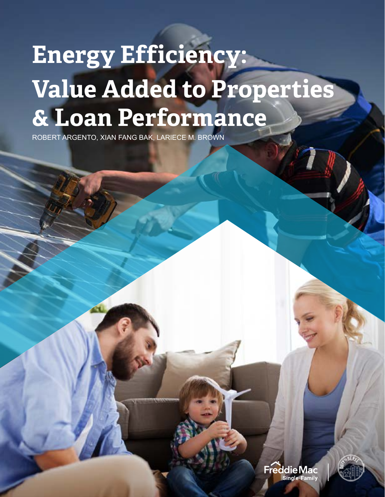# **Energy Efficiency: Value Added to Properties & Loan Performance**

ROBERT ARGENTO, XIAN FANG BAK, LARIECE M. BROWN

Freddie Mac **Single-Family** 

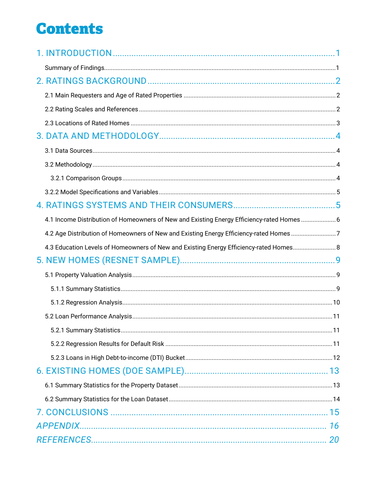## **Contents**

| 4.1 Income Distribution of Homeowners of New and Existing Energy Efficiency-rated Homes  6 |  |
|--------------------------------------------------------------------------------------------|--|
| 4.2 Age Distribution of Homeowners of New and Existing Energy Efficiency-rated Homes 7     |  |
| 4.3 Education Levels of Homeowners of New and Existing Energy Efficiency-rated Homes       |  |
|                                                                                            |  |
|                                                                                            |  |
|                                                                                            |  |
|                                                                                            |  |
|                                                                                            |  |
|                                                                                            |  |
|                                                                                            |  |
|                                                                                            |  |
|                                                                                            |  |
|                                                                                            |  |
|                                                                                            |  |
|                                                                                            |  |
|                                                                                            |  |
|                                                                                            |  |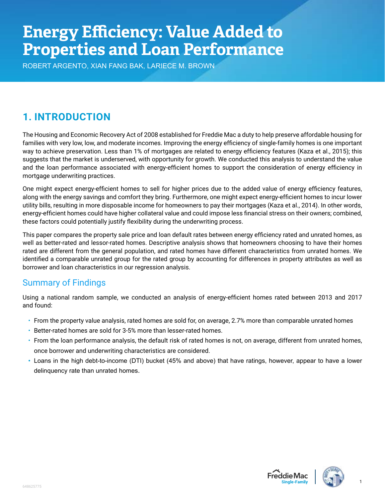# <span id="page-2-0"></span>**Energy Efficiency: Value Added to Properties and Loan Performance**

ROBERT ARGENTO, XIAN FANG BAK, LARIECE M. BROWN

## **1. INTRODUCTION**

The Housing and Economic Recovery Act of 2008 established for Freddie Mac a duty to help preserve affordable housing for families with very low, low, and moderate incomes. Improving the energy efficiency of single-family homes is one important way to achieve preservation. Less than 1% of mortgages are related to energy efficiency features (Kaza et al., 2015); this suggests that the market is underserved, with opportunity for growth. We conducted this analysis to understand the value and the loan performance associated with energy-efficient homes to support the consideration of energy efficiency in mortgage underwriting practices.

One might expect energy-efficient homes to sell for higher prices due to the added value of energy efficiency features, along with the energy savings and comfort they bring. Furthermore, one might expect energy-efficient homes to incur lower utility bills, resulting in more disposable income for homeowners to pay their mortgages (Kaza et al., 2014). In other words, energy-efficient homes could have higher collateral value and could impose less financial stress on their owners; combined, these factors could potentially justify flexibility during the underwriting process.

This paper compares the property sale price and loan default rates between energy efficiency rated and unrated homes, as well as better-rated and lessor-rated homes. Descriptive analysis shows that homeowners choosing to have their homes rated are different from the general population, and rated homes have different characteristics from unrated homes. We identified a comparable unrated group for the rated group by accounting for differences in property attributes as well as borrower and loan characteristics in our regression analysis.

## Summary of Findings

Using a national random sample, we conducted an analysis of energy-efficient homes rated between 2013 and 2017 and found:

- From the property value analysis, rated homes are sold for, on average, 2.7% more than comparable unrated homes
- Better-rated homes are sold for 3-5% more than lesser-rated homes.
- From the loan performance analysis, the default risk of rated homes is not, on average, different from unrated homes, once borrower and underwriting characteristics are considered.
- Loans in the high debt-to-income (DTI) bucket (45% and above) that have ratings, however, appear to have a lower delinquency rate than unrated homes.





1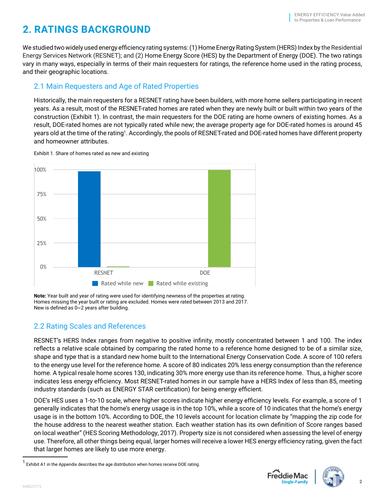## <span id="page-3-0"></span>**2. RATINGS BACKGROUND**

We studied two widely used energy efficiency rating systems: (1) Home Energy Rating System (HERS) Index by the Residential Energy Services Network (RESNET); and (2) Home Energy Score (HES) by the Department of Energy (DOE). The two ratings vary in many ways, especially in terms of their main requesters for ratings, the reference home used in the rating process, and their geographic locations.

#### 2.1 Main Requesters and Age of Rated Properties

Historically, the main requesters for a RESNET rating have been builders, with more home sellers participating in recent years. As a result, most of the RESNET-rated homes are rated when they are newly built or built within two years of the construction (Exhibit 1). In contrast, the main requesters for the DOE rating are home owners of existing homes. As a result, DOE-rated homes are not typically rated while new; the average property age for DOE-rated homes is around 45 years old at the time of the rating1 . Accordingly, the pools of RESNET-rated and DOE-rated homes have different property and homeowner attributes.



Exhibit 1. Share of homes rated as new and existing

**Note:** Year built and year of rating were used for identifying newness of the properties at rating. Homes missing the year built or rating are excluded. Homes were rated between 2013 and 2017. New is defined as 0~2 years after building.

#### 2.2 Rating Scales and References

RESNET's HERS Index ranges from negative to positive infinity, mostly concentrated between 1 and 100. The index reflects a relative scale obtained by comparing the rated home to a reference home designed to be of a similar size, shape and type that is a standard new home built to the International Energy Conservation Code. A score of 100 refers to the energy use level for the reference home. A score of 80 indicates 20% less energy consumption than the reference home. A typical resale home scores 130, indicating 30% more energy use than its reference home. Thus, a higher score indicates less energy efficiency. Most RESNET-rated homes in our sample have a HERS Index of less than 85, meeting industry standards (such as ENERGY STAR certification) for being energy efficient.

DOE's HES uses a 1-to-10 scale, where higher scores indicate higher energy efficiency levels. For example, a score of 1 generally indicates that the home's energy usage is in the top 10%, while a score of 10 indicates that the home's energy usage is in the bottom 10%. According to DOE, the 10 levels account for location climate by "mapping the zip code for the house address to the nearest weather station. Each weather station has its own definition of Score ranges based on local weather" (HES Scoring Methodology, 2017). Property size is not considered when assessing the level of energy use. Therefore, all other things being equal, larger homes will receive a lower HES energy efficiency rating, given the fact that larger homes are likely to use more energy.



<sup>&</sup>lt;sup>1</sup> Exhibit A1 in the Appendix describes the age distribution when homes receive DOE rating.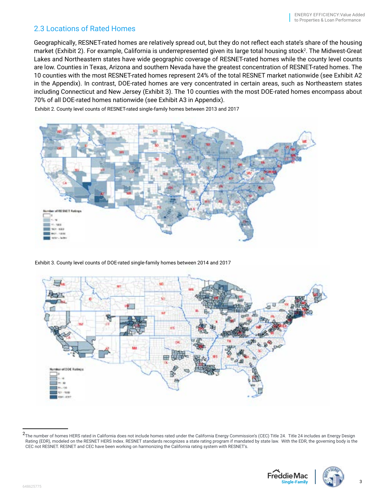#### <span id="page-4-0"></span>2.3 Locations of Rated Homes

Geographically, RESNET-rated homes are relatively spread out, but they do not reflect each state's share of the housing market (Exhibit 2). For example, California is underrepresented given its large total housing stock<sup>2</sup>. The Midwest-Great Lakes and Northeastern states have wide geographic coverage of RESNET-rated homes while the county level counts are low. Counties in Texas, Arizona and southern Nevada have the greatest concentration of RESNET-rated homes. The 10 counties with the most RESNET-rated homes represent 24% of the total RESNET market nationwide (see Exhibit A2 in the Appendix). In contrast, DOE-rated homes are very concentrated in certain areas, such as Northeastern states including Connecticut and New Jersey (Exhibit 3). The 10 counties with the most DOE-rated homes encompass about 70% of all DOE-rated homes nationwide (see Exhibit A3 in Appendix).



Exhibit 2. County level counts of RESNET-rated single-family homes between 2013 and 2017

Exhibit 3. County level counts of DOE-rated single-family homes between 2014 and 2017



<sup>2</sup> The number of homes HERS rated in California does not include homes rated under the California Energy Commission's (CEC) Title 24. Title 24 includes an Energy Design Rating (EDR), modeled on the RESNET HERS Index. RESNET standards recognizes a state rating program if mandated by state law. With the EDR, the governing body is the CEC not RESNET. RESNET and CEC have been working on harmonizing the California rating system with RESNET's.



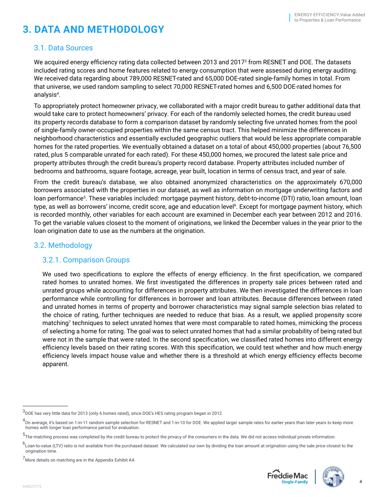## <span id="page-5-0"></span>**3. DATA AND METHODOLOGY**

#### 3.1. Data Sources

We acquired energy efficiency rating data collected between 2013 and 2017 $^{\rm 3}$  from RESNET and DOE. The datasets included rating scores and home features related to energy consumption that were assessed during energy auditing. We received data regarding about 789,000 RESNET-rated and 65,000 DOE-rated single-family homes in total. From that universe, we used random sampling to select 70,000 RESNET-rated homes and 6,500 DOE-rated homes for analysis4 .

To appropriately protect homeowner privacy, we collaborated with a major credit bureau to gather additional data that would take care to protect homeowners' privacy. For each of the randomly selected homes, the credit bureau used its property records database to form a comparison dataset by randomly selecting five unrated homes from the pool of single-family owner-occupied properties within the same census tract. This helped minimize the differences in neighborhood characteristics and essentially excluded geographic outliers that would be less appropriate comparable homes for the rated properties. We eventually obtained a dataset on a total of about 450,000 properties (about 76,500 rated, plus 5 comparable unrated for each rated). For these 450,000 homes, we procured the latest sale price and property attributes through the credit bureau's property record database. Property attributes included number of bedrooms and bathrooms, square footage, acreage, year built, location in terms of census tract, and year of sale.

From the credit bureau's database, we also obtained anonymized characteristics on the approximately 670,000 borrowers associated with the properties in our dataset, as well as information on mortgage underwriting factors and loan performance5 . These variables included: mortgage payment history, debt-to-income (DTI) ratio, loan amount, loan type, as well as borrowers' income, credit score, age and education level<sup>6</sup>. Except for mortgage payment history, which is recorded monthly, other variables for each account are examined in December each year between 2012 and 2016. To get the variable values closest to the moment of originations, we linked the December values in the year prior to the loan origination date to use as the numbers at the origination.

#### 3.2. Methodology

#### 3.2.1. Comparison Groups

We used two specifications to explore the effects of energy efficiency. In the first specification, we compared rated homes to unrated homes. We first investigated the differences in property sale prices between rated and unrated groups while accounting for differences in property attributes. We then investigated the differences in loan performance while controlling for differences in borrower and loan attributes. Because differences between rated and unrated homes in terms of property and borrower characteristics may signal sample selection bias related to the choice of rating, further techniques are needed to reduce that bias. As a result, we applied propensity score matching<sup>7</sup> techniques to select unrated homes that were most comparable to rated homes, mimicking the process of selecting a home for rating. The goal was to select unrated homes that had a similar probability of being rated but were not in the sample that were rated. In the second specification, we classified rated homes into different energy efficiency levels based on their rating scores. With this specification, we could test whether and how much energy efficiency levels impact house value and whether there is a threshold at which energy efficiency effects become apparent.





<sup>3</sup> DOE has very little data for 2013 (only 6 homes rated), since DOE's HES rating program began in 2012.

<sup>&</sup>lt;sup>4</sup>On average, it's based on 1-in-11 random sample selection for RESNET and 1-in-10 for DOE. We applied larger sample rates for earlier years than later years to keep more homes with longer loan performance period for evaluation.

<sup>5</sup> The matching process was completed by the credit bureau to protect the privacy of the consumers in the data. We did not access individual private information.

<sup>&</sup>lt;sup>6</sup>Loan-to-value (LTV) ratio is not available from the purchased dataset. We calculated our own by dividing the loan amount at origination using the sale price closest to the origination time.

 $7$ More details on matching are in the Appendix Exhibit A4.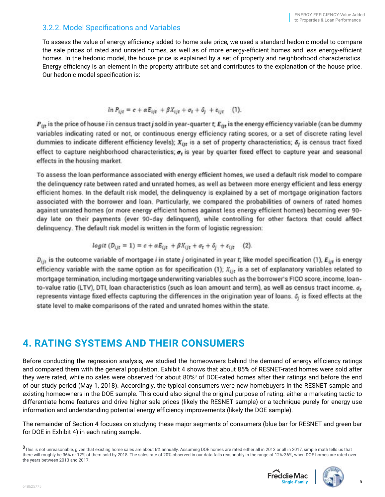#### <span id="page-6-0"></span>3.2.2. Model Specifications and Variables

To assess the value of energy efficiency added to home sale price, we used a standard hedonic model to compare the sale prices of rated and unrated homes, as well as of more energy-efficient homes and less energy-efficient homes. In the hedonic model, the house price is explained by a set of property and neighborhood characteristics. Energy efficiency is an element in the property attribute set and contributes to the explanation of the house price. Our hedonic model specification is:

$$
\ln P_{ijt} = c + \alpha E_{ijt} + \beta X_{ijt} + \sigma_t + \delta_j + \varepsilon_{ijt} \quad (1).
$$

 $P_{irt}$  is the price of house *i* in census tract j sold in year-quarter t;  $E_{itr}$  is the energy efficiency variable (can be dummy variables indicating rated or not, or continuous energy efficiency rating scores, or a set of discrete rating level dummies to indicate different efficiency levels);  $X_{ijt}$  is a set of property characteristics;  $\delta_j$  is census tract fixed effect to capture neighborhood characteristics;  $\sigma_t$  is year by quarter fixed effect to capture year and seasonal effects in the housing market.

To assess the loan performance associated with energy efficient homes, we used a default risk model to compare the delinguency rate between rated and unrated homes, as well as between more energy efficient and less energy efficient homes. In the default risk model, the delinquency is explained by a set of mortgage origination factors associated with the borrower and loan. Particularly, we compared the probabilities of owners of rated homes against unrated homes (or more energy efficient homes against less energy efficient homes) becoming ever 90day late on their payments (ever 90-day delinquent), while controlling for other factors that could affect delinquency. The default risk model is written in the form of logistic regression:

$$
logit (D_{ijt} = 1) = c + \alpha E_{ijt} + \beta X_{ijt} + \sigma_t + \delta_j + \varepsilon_{ijt} \quad (2)
$$

 $D_{ijt}$  is the outcome variable of mortgage *i* in state *j* originated in year t; like model specification (1),  $E_{ijt}$  is energy efficiency variable with the same option as for specification (1);  $X_{ijt}$  is a set of explanatory variables related to mortgage termination, including mortgage underwriting variables such as the borrower's FICO score, income, loanto-value ratio (LTV), DTI, loan characteristics (such as loan amount and term), as well as census tract income. o, represents vintage fixed effects capturing the differences in the origination year of loans.  $\delta_i$  is fixed effects at the state level to make comparisons of the rated and unrated homes within the state.

## **4. RATING SYSTEMS AND THEIR CONSUMERS**

Before conducting the regression analysis, we studied the homeowners behind the demand of energy efficiency ratings and compared them with the general population. Exhibit 4 shows that about 85% of RESNET-rated homes were sold after they were rated, while no sales were observed for about 80%8 of DOE-rated homes after their ratings and before the end of our study period (May 1, 2018). Accordingly, the typical consumers were new homebuyers in the RESNET sample and existing homeowners in the DOE sample. This could also signal the original purpose of rating: either a marketing tactic to differentiate home features and drive higher sale prices (likely the RESNET sample) or a technique purely for energy use information and understanding potential energy efficiency improvements (likely the DOE sample).

The remainder of Section 4 focuses on studying these major segments of consumers (blue bar for RESNET and green bar for DOE in Exhibit 4) in each rating sample.

<sup>8</sup> This is not unreasonable, given that existing home sales are about 6% annually. Assuming DOE homes are rated either all in 2013 or all in 2017, simple math tells us that there will roughly be 36% or 12% of them sold by 2018. The sales rate of 20% observed in our data falls reasonably in the range of 12%-36%, when DOE homes are rated over the years between 2013 and 2017.



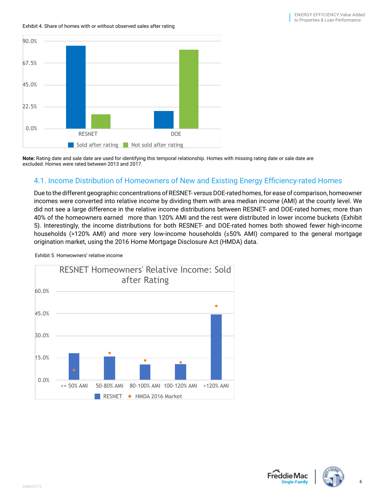<span id="page-7-0"></span>Exhibit 4. Share of homes with or without observed sales after rating



**Note:** Rating date and sale date are used for identifying this temporal relationship. Homes with missing rating date or sale date are excluded. Homes were rated between 2013 and 2017.

#### 4.1. Income Distribution of Homeowners of New and Existing Energy Efficiency-rated Homes

Due to the different geographic concentrations of RESNET- versus DOE-rated homes, for ease of comparison, homeowner incomes were converted into relative income by dividing them with area median income (AMI) at the county level. We did not see a large difference in the relative income distributions between RESNET- and DOE-rated homes; more than 40% of the homeowners earned 

more than 120% AMI and the rest were distributed in lower income buckets (Exhibit 5). Interestingly, the income distributions for both RESNET- and DOE-rated homes both showed fewer high-income households (>120% AMI) and more very low-income households (≤50% AMI) compared to the general mortgage origination market, using the 2016 Home Mortgage Disclosure Act (HMDA) data.



Exhibit 5. Homeowners' relative income



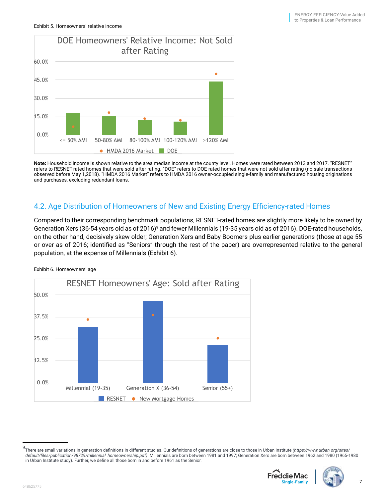<span id="page-8-0"></span>

**Note:** Household income is shown relative to the area median income at the county level. Homes were rated between 2013 and 2017. "RESNET" refers to RESNET-rated homes that were sold after rating. "DOE" refers to DOE-rated homes that were not sold after rating (no sale transactions observed before May 1,2018). "HMDA 2016 Market" refers to HMDA 2016 owner-occupied single-family and manufactured housing originations and purchases, excluding redundant loans.

#### 4.2. Age Distribution of Homeowners of New and Existing Energy Efficiency-rated Homes

Compared to their corresponding benchmark populations, RESNET-rated homes are slightly more likely to be owned by Generation Xers (36-54 years old as of 2016)° and fewer Millennials (19-35 years old as of 2016). DOE-rated households, on the other hand, decisively skew older; Generation Xers and Baby Boomers plus earlier generations (those at age 55 or over as of 2016; identified as "Seniors" through the rest of the paper) are overrepresented relative to the general population, at the expense of Millennials (Exhibit 6).



Exhibit 6. Homeowners' age

<sup>9</sup> There are small variations in generation definitions in different studies. Our definitions of generations are close to those in Urban Institute *[\(https://www.urban.org/sites/](https://www.urban.org/sites/default/files/publication/98729/millennial_homeownership.pdf) [default/files/publication/98729/millennial\\_homeownership.pdf](https://www.urban.org/sites/default/files/publication/98729/millennial_homeownership.pdf))*. Millennials are born between 1981 and 1997; Generation Xers are born between 1962 and 1980 (1965-1980 in Urban Institute study). Further, we define all those born in and before 1961 as the Senior.



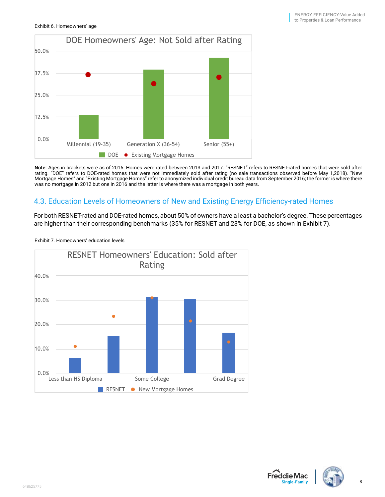<span id="page-9-0"></span>

**Note:** Ages in brackets were as of 2016. Homes were rated between 2013 and 2017. "RESNET" refers to RESNET-rated homes that were sold after rating. "DOE" refers to DOE-rated homes that were not immediately sold after rating (no sale transactions observed before May 1,2018). "New Mortgage Homes" and "Existing Mortgage Homes" refer to anonymized individual credit bureau data from September 2016; the former is where there was no mortgage in 2012 but one in 2016 and the latter is where there was a mortgage in both years.

#### 4.3. Education Levels of Homeowners of New and Existing Energy Efficiency-rated Homes

For both RESNET-rated and DOE-rated homes, about 50% of owners have a least a bachelor's degree. These percentages are higher than their corresponding benchmarks (35% for RESNET and 23% for DOE, as shown in Exhibit 7).



Exhibit 7. Homeowners' education levels



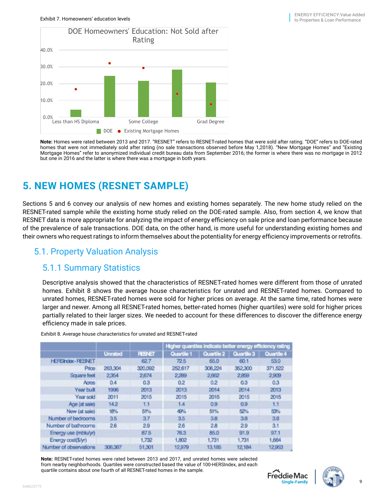<span id="page-10-0"></span>

**Note:** Homes were rated between 2013 and 2017. "RESNET" refers to RESNET-rated homes that were sold after rating. "DOE" refers to DOE-rated homes that were not immediately sold after rating (no sale transactions observed before May 1,2018). "New Mortgage Homes" and "Existing Mortgage Homes" refer to anonymized individual credit bureau data from September 2016; the former is where there was no mortgage in 2012 but one in 2016 and the latter is where there was a mortgage in both years.

## **5. NEW HOMES (RESNET SAMPLE)**

Sections 5 and 6 convey our analysis of new homes and existing homes separately. The new home study relied on the RESNET-rated sample while the existing home study relied on the DOE-rated sample. Also, from section 4, we know that RESNET data is more appropriate for analyzing the impact of energy efficiency on sale price and loan performance because of the prevalence of sale transactions. DOE data, on the other hand, is more useful for understanding existing homes and their owners who request ratings to inform themselves about the potentiality for energy efficiency improvements or retrofits.

#### 5.1. Property Valuation Analysis

#### 5.1.1 Summary Statistics

Descriptive analysis showed that the characteristics of RESNET-rated homes were different from those of unrated homes. Exhibit 8 shows the average house characteristics for unrated and RESNET-rated homes. Compared to unrated homes, RESNET-rated homes were sold for higher prices on average. At the same time, rated homes were larger and newer. Among all RESNET-rated homes, better-rated homes (higher quartiles) were sold for higher prices partially related to their larger sizes. We needed to account for these differences to discover the difference energy efficiency made in sale prices.

|                        |                |             | Higher quantiles indicate better energy efficiency rating |                   |            |            |
|------------------------|----------------|-------------|-----------------------------------------------------------|-------------------|------------|------------|
|                        | <b>Unrated</b> | <b>RBET</b> | Quartile 1                                                | <b>Ouartile 2</b> | Quartile 3 | Quartile 4 |
| <b>HERShoex-RESNET</b> |                | 62.7        | 72.5                                                      | 65.0              | 60.1       | 53.0       |
| Price                  | 263.304        | 320,092     | 252,617                                                   | 306.224           | 352,300    | 371,522    |
| Square feet            | 2354           | 2,674       | 2.289                                                     | 2,662             | 2.859      | 2,909      |
| Acres                  | 0.4            | 0.3         | 0.2                                                       | 0.2               | 0.3        | 0.3        |
| Year built             | 1996           | 2013        | 2013                                                      | 2014              | 2014       | 2013       |
| Year sold              | 2011           | 2015        | 2015                                                      | 2015              | 2015       | 2015       |
| Age (at sale)          | 142            | 11          | 1.4                                                       | 0.9               | 0.9        | 1.1        |
| New (at sale)          | 18%            | 51%         | 49%                                                       | 51%               | 52%        | 53%        |
| Number of bedrooms     | 35             | 37          | 3.5                                                       | 38                | 38         | 3B         |
| Number of bathrooms    | 26             | 29          | 26                                                        | 28                | 29         | 3.1        |
| Energy use (mbtulyr)   |                | 87.5        | 76.3                                                      | 85.0              | 91.9       | 97.1       |
| Energy cost(\$/yr)     |                | 1,732       | 1,802                                                     | 1,731             | 1.731      | 1,664      |
| Number of observations | 306,387        | 51,301      | 12,979                                                    | 13,185            | 12,184     | 12.953     |

Exhibit 8. Average house characteristics for unrated and RESNET-rated

**Note:** RESNET-rated homes were rated between 2013 and 2017, and unrated homes were selected from nearby neighborhoods. Quartiles were constructed based the value of 100-HERSIndex, and each quartile contains about one fourth of all RESNET-rated homes in the sample.



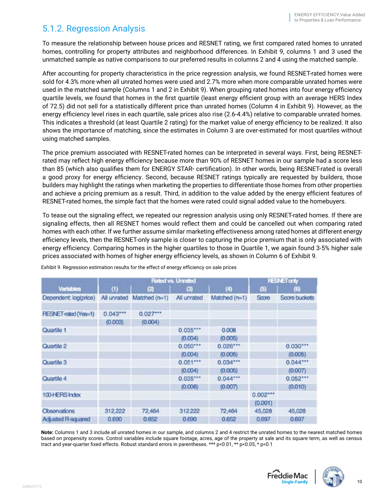## <span id="page-11-0"></span>5.1.2. Regression Analysis

To measure the relationship between house prices and RESNET rating, we first compared rated homes to unrated homes, controlling for property attributes and neighborhood differences. In Exhibit 9, columns 1 and 3 used the unmatched sample as native comparisons to our preferred results in columns 2 and 4 using the matched sample.

After accounting for property characteristics in the price regression analysis, we found RESNET-rated homes were sold for 4.3% more when all unrated homes were used and 2.7% more when more comparable unrated homes were used in the matched sample (Columns 1 and 2 in Exhibit 9). When grouping rated homes into four energy efficiency quartile levels, we found that homes in the first quartile (least energy efficient group with an average HERS Index of 72.5) did not sell for a statistically different price than unrated homes (Column 4 in Exhibit 9). However, as the energy efficiency level rises in each quartile, sale prices also rise (2.6-4.4%) relative to comparable unrated homes. This indicates a threshold (at least Quartile 2 rating) for the market value of energy efficiency to be realized. It also shows the importance of matching, since the estimates in Column 3 are over-estimated for most quartiles without using matched samples.

The price premium associated with RESNET-rated homes can be interpreted in several ways. First, being RESNETrated may reflect high energy efficiency because more than 90% of RESNET homes in our sample had a score less than 85 (which also qualifies them for ENERGY STAR® certification). In other words, being RESNET-rated is overall a good proxy for energy efficiency. Second, because RESNET ratings typically are requested by builders, those builders may highlight the ratings when marketing the properties to differentiate those homes from other properties and achieve a pricing premium as a result. Third, in addition to the value added by the energy efficient features of RESNET-rated homes, the simple fact that the homes were rated could signal added value to the homebuyers.

To tease out the signaling effect, we repeated our regression analysis using only RESNET-rated homes. If there are signaling effects, then all RESNET homes would reflect them and could be cancelled out when comparing rated homes with each other. If we further assume similar marketing effectiveness among rated homes at different energy efficiency levels, then the RESNET-only sample is closer to capturing the price premium that is only associated with energy efficiency. Comparing homes in the higher quartiles to those in Quartile 1, we again found 3-5% higher sale prices associated with homes of higher energy efficiency levels, as shown in Column 6 of Exhibit 9.

|                             |             | <b>Rated vs. Unrated</b> |             | <b>RESNET only</b> |            |               |
|-----------------------------|-------------|--------------------------|-------------|--------------------|------------|---------------|
| <b>Variables</b>            | (1)         | 冈                        | $^{(3)}$    | (4)                | (5)        | (6)           |
| Dependent: log(price)       | All unrated | Matched (n=1)            | All unrated | Matched (n=1)      | Score      | Score buckets |
| <b>PESNET-rated (Yes=1)</b> | $0.043***$  | $0.027***$               |             |                    |            |               |
|                             | (0.003)     | (0.004)                  |             |                    |            |               |
| Quartile 1                  |             |                          | $0.035***$  | 0.008              |            |               |
|                             |             |                          | (0.004)     | (0.005)            |            |               |
| Quartile 2                  |             |                          | $0.050***$  | $0.026***$         |            | $0.030***$    |
|                             |             |                          | (0.004)     | (0.005)            |            | (0.005)       |
| Quartile 3                  |             |                          | $0.051***$  | $0.034***$         |            | 0.044         |
|                             |             |                          | (0.004)     | (0.005)            |            | (0.007)       |
| Quartile 4                  |             |                          | $0.035***$  | 0.044              |            | 0.052         |
|                             |             |                          | (0.006)     | (0.007)            |            | (0.010)       |
| 100 HERS Index              |             |                          |             |                    | $0.002***$ |               |
|                             |             |                          |             |                    | (0.001)    |               |
| Observations                | 312,222     | 72,464                   | 312,222     | 72,464             | 45,028     | 45,028        |
| Adjusted R-squared          | 0.690       | 0.652                    | 0.690       | 0.652              | 0.697      | 0.697         |

Exhibit 9. Regression estimation results for the effect of energy efficiency on sale prices

**Note:** Columns 1 and 3 include all unrated homes in our sample, and columns 2 and 4 restrict the unrated homes to the nearest matched homes based on propensity scores. Control variables include square footage, acres, age of the property at sale and its square term, as well as census tract and year-quarter fixed effects. Robust standard errors in parentheses. \*\*\* p<0.01, \*\* p<0.05, \* p<0.1



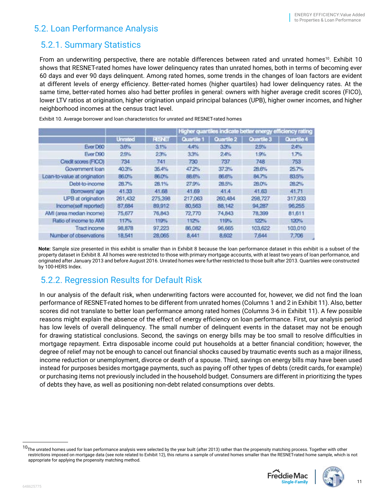#### <span id="page-12-0"></span>5.2. Loan Performance Analysis

#### 5.2.1. Summary Statistics

From an underwriting perspective, there are notable differences between rated and unrated homes<sup>10</sup>. Exhibit 10 shows that RESNET-rated homes have lower delinquency rates than unrated homes, both in terms of becoming ever 60 days and ever 90 days delinquent. Among rated homes, some trends in the changes of loan factors are evident at different levels of energy efficiency. Better-rated homes (higher quartiles) had lower delinquency rates. At the same time, better-rated homes also had better profiles in general: owners with higher average credit scores (FICO), lower LTV ratios at origination, higher origination unpaid principal balances (UPB), higher owner incomes, and higher neighborhood incomes at the census tract level.

|                              |                |               |              |            | Higher quartiles indicate better energy efficiency rating |            |
|------------------------------|----------------|---------------|--------------|------------|-----------------------------------------------------------|------------|
|                              | <b>Unrated</b> | <b>RESNET</b> | Quartile 1   | Quartile 2 | Quartile 3                                                | Quartile 4 |
| Ever D60                     | 3.6%           | 31%           | 4,4%         | 33%        | 25%                                                       | 24%        |
| Ever D90                     | 25%            | 23%           | 3.3%         | 24%        | 1.9%                                                      | 1.7%       |
| Credit scores (FICO)         | 734            | 741           | 730          | 737        | 748                                                       | 753        |
| Government loan              | 40.3%          | 35.4%         | 47.2%        | 37.3%      | <b>28.6%</b>                                              | 25.7%      |
| Loan-to-value at origination | 86.0%          | 86.0%         | <b>BB.6%</b> | 86.6%      | 84.7%                                                     | 83.5%      |
| Debt-to-income               | 28.7%          | 28.1%         | 27.9%        | 28.5%      | 28.0%                                                     | 28.2%      |
| Borrowers' age               | 41.33          | 41.68         | 41.69        | 41.4       | 41.63                                                     | 41.71      |
| UPB at origination           | 261,432        | 275,398       | 217,063      | 260,484    | 298,727                                                   | 317,933    |
| Income(self reported)        | 87,684         | 89,912        | 80.563       | 88,142     | 94,287                                                    | 96,255     |
| AMI (area median income)     | 75,677         | 76,843        | 72,770       | 74,843     | 78,399                                                    | 81,611     |
| Ratio of income to AMI       | 117%           | 119%          | 112%         | 119%       | 122%                                                      | 120%       |
| <b>Tract income</b>          | 98,878         | 97,223        | 86,082       | 96,665     | 103,622                                                   | 103,010    |
| Number of observations       | 18,541         | 28,065        | 8.441        | 8,602      | 7,644                                                     | 7,706      |

Exhibit 10. Average borrower and loan characteristics for unrated and RESNET-rated homes

**Note:** Sample size presented in this exhibit is smaller than in Exhibit 8 because the loan performance dataset in this exhibit is a subset of the property dataset in Exhibit 8. All homes were restricted to those with primary mortgage accounts, with at least two years of loan performance, and originated after January 2013 and before August 2016. Unrated homes were further restricted to those built after 2013. Quartiles were constructed by 100-HERS Index.

## 5.2.2. Regression Results for Default Risk

In our analysis of the default risk, when underwriting factors were accounted for, however, we did not find the loan performance of RESNET-rated homes to be different from unrated homes (Columns 1 and 2 in Exhibit 11). Also, better scores did not translate to better loan performance among rated homes (Columns 3-6 in Exhibit 11). A few possible reasons might explain the absence of the effect of energy efficiency on loan performance. First, our analysis period has low levels of overall delinquency. The small number of delinquent events in the dataset may not be enough for drawing statistical conclusions. Second, the savings on energy bills may be too small to resolve difficulties in mortgage repayment. Extra disposable income could put households at a better financial condition; however, the degree of relief may not be enough to cancel out financial shocks caused by traumatic events such as a major illness, income reduction or unemployment, divorce or death of a spouse. Third, savings on energy bills may have been used instead for purposes besides mortgage payments, such as paying off other types of debts (credit cards, for example) or purchasing items not previously included in the household budget. Consumers are different in prioritizing the types of debts they have, as well as positioning non-debt related consumptions over debts.

<sup>10</sup>The unrated homes used for loan performance analysis were selected by the year built (after 2013) rather than the propensity matching process. Together with other restrictions imposed on mortgage data (see note related to Exhibit 12), this returns a sample of unrated homes smaller than the RESNET-rated home sample, which is not appropriate for applying the propensity matching method.



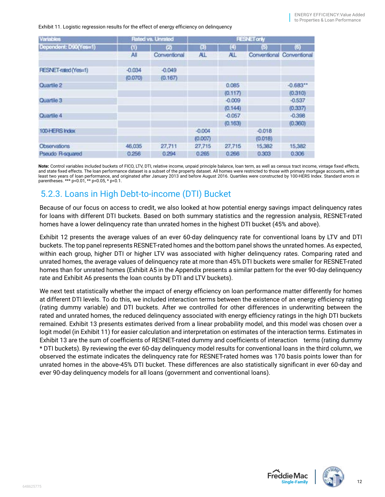#### <span id="page-13-0"></span>Exhibit 11. Logistic regression results for the effect of energy efficiency on delinquency

| <b>Variables</b>            |          | Rated vs. Unrated | <b>RESNET only</b> |          |          |                           |
|-----------------------------|----------|-------------------|--------------------|----------|----------|---------------------------|
| Dependent: D90(Yes¤1)       | ω        | (2)               | Ø)                 | (4)      | 何        | (6)                       |
|                             | All      | Conventional      | AL.                | AL.      |          | Conventional Conventional |
| <b>RESNET-rated (Yes=1)</b> | $-0.034$ | $-0.049$          |                    |          |          |                           |
|                             | (0.070)  | (0.167)           |                    |          |          |                           |
| Quartile 2                  |          |                   |                    | 0.085    |          | $-0.683$                  |
|                             |          |                   |                    | (0.117)  |          | (0.310)                   |
| Quartile 3                  |          |                   |                    | $-0.009$ |          | $-0.537$                  |
|                             |          |                   |                    | (0.144)  |          | (0.337)                   |
| Quartile 4                  |          |                   |                    | $-0.057$ |          | $-0.398$                  |
|                             |          |                   |                    | (0.163)  |          | (0.360)                   |
| 100-HERS Index              |          |                   | $-0.004$           |          | $-0.018$ |                           |
|                             |          |                   | (0.007)            |          | (0.018)  |                           |
| Observations                | 46,035   | 27,711            | 27,715             | 27,715   | 15,382   | 15,382                    |
| Pseudo R-squared            | 0.256    | 0.294             | 0.265              | 0.266    | 0.303    | 0.306                     |

**Note:** Control variables included buckets of FICO, LTV, DTI, relative income, unpaid principle balance, loan term, as well as census tract income, vintage fixed effects, and state fixed effects. The loan performance dataset is a subset of the property dataset. All homes were restricted to those with primary mortgage accounts, with at least two years of loan performance, and originated after January 2013 and before August 2016. Quartiles were constructed by 100-HERS Index. Standard errors in parentheses. \*\*\* p<0.01, \*\* p<0.05, \* p<0.1.

## 5.2.3. Loans in High Debt-to-income (DTI) Bucket

Because of our focus on access to credit, we also looked at how potential energy savings impact delinquency rates for loans with different DTI buckets. Based on both summary statistics and the regression analysis, RESNET-rated homes have a lower delinquency rate than unrated homes in the highest DTI bucket (45% and above).

Exhibit 12 presents the average values of an ever 60-day delinquency rate for conventional loans by LTV and DTI buckets. The top panel represents RESNET-rated homes and the bottom panel shows the unrated homes. As expected, within each group, higher DTI or higher LTV was associated with higher delinquency rates. Comparing rated and unrated homes, the average values of delinquency rate at more than 45% DTI buckets were smaller for RESNET-rated homes than for unrated homes (Exhibit A5 in the Appendix presents a similar pattern for the ever 90-day delinquency rate and Exhibit A6 presents the loan counts by DTI and LTV buckets).

We next test statistically whether the impact of energy efficiency on loan performance matter differently for homes at different DTI levels. To do this, we included interaction terms between the existence of an energy efficiency rating (rating dummy variable) and DTI buckets. After we controlled for other differences in underwriting between the rated and unrated homes, the reduced delinquency associated with energy efficiency ratings in the high DTI buckets remained. Exhibit 13 presents estimates derived from a linear probability model, and this model was chosen over a logit model (in Exhibit 11) for easier calculation and interpretation on estimates of the interaction terms. Estimates in Exhibit 13 are the sum of coefficients of RESNET-rated dummy and coefficients of interaction terms (rating dummy \* DTI buckets). By reviewing the ever 60-day delinquency model results for conventional loans in the third column, we observed the estimate indicates the delinquency rate for RESNET-rated homes was 170 basis points lower than for unrated homes in the above-45% DTI bucket. These differences are also statistically significant in ever 60-day and ever 90-day delinquency models for all loans (government and conventional loans).



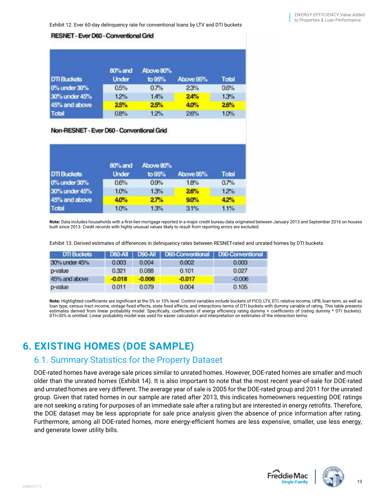<span id="page-14-0"></span>Exhibit 12. Ever 60-day delinquency rate for conventional loans by LTV and DTI buckets

#### **RESNET - Ever D60 - Conventional Grid**

| <b>DTI Buckets</b> | 80% and<br><b>Under</b> | Above 80%<br>to 95% | Above 95% | Total |  |
|--------------------|-------------------------|---------------------|-----------|-------|--|
|                    |                         |                     |           |       |  |
| 0% under 30%       | 0.5%                    | 0.7%                | 23%       | 0.6%  |  |
| 30% under 45%      | 12%                     | 1.4%                | 24%       | 1.3%  |  |
| 45% and above      | 25%                     | 25%                 | 4.0%      | 26%   |  |
| Total              | 0.8%                    | 12%                 | 26%       | 1.0%  |  |

#### Non-RESNET - Ever D60 - Conventional Grid

| <b>DTI Buckets</b> | 80% and<br><b>Under</b> | Above 80%<br>to 95% | Above 95% | <b>Total</b> |
|--------------------|-------------------------|---------------------|-----------|--------------|
| 0% under 30%       | 0.6%                    | 0.9%                | 1.8%      | 0.7%         |
| 30% under 45%      | 10%                     | 13%                 | 26%       | 12%          |
| 45% and above      | 40%                     | 27%                 | 90%       | 4.2%         |
| <b>Total</b>       | 10%                     | 1.3%                | 31%       | 1.1%         |

**Note:** Data includes households with a first-lien mortgage reported in a major credit bureau data originated between January 2013 and September 2016 on houses built since 2013. Credit records with highly unusual values likely to result from reporting errors are excluded.

Exhibit 13. Derived estimates of differences in delinquency rates between RESNET-rated and unrated homes by DTI buckets

| <b>DTI Buckets</b> |          |          | D60-All   D90-All   D60-Conventional   D90-Conventional |          |
|--------------------|----------|----------|---------------------------------------------------------|----------|
| 30% under 45%      | 0.003    | 0.004    | 0.002                                                   | 0.003    |
| p-value            | 0.321    | 0.088    | 0.101                                                   | 0.027    |
| 45% and above      | $-0.018$ | $-0.006$ | $-0.017$                                                | $-0.006$ |
| p-value            | 0.011    | 0.079    | 0.004                                                   | 0.105    |

**Note:** Highlighted coefficients are significant at the 5% or 10% level. Control variables include buckets of FICO, LTV, DTI, relative income, UPB, loan term, as well as loan type, census tract income, vintage fixed effects, state fixed effects, and interactions terms of DTI buckets with dummy variable of rating. This table presents estimates derived from linear probability model. Specifically, coefficients of energy efficiency rating dummy + coefficients of (rating dummy \* DTI buckets). DTI<30% is omitted. Linear probability model was used for easier calculation and interpretation on estimates of the interaction terms.

## **6. EXISTING HOMES (DOE SAMPLE)**

#### 6.1. Summary Statistics for the Property Dataset

DOE-rated homes have average sale prices similar to unrated homes. However, DOE-rated homes are smaller and much older than the unrated homes (Exhibit 14). It is also important to note that the most recent year-of-sale for DOE-rated and unrated homes are very different. The average year of sale is 2005 for the DOE-rated group and 2011 for the unrated group. Given that rated homes in our sample are rated after 2013, this indicates homeowners requesting DOE ratings are not seeking a rating for purposes of an immediate sale after a rating but are interested in energy retrofits. Therefore, the DOE dataset may be less appropriate for sale price analysis given the absence of price information after rating. Furthermore, among all DOE-rated homes, more energy-efficient homes are less expensive, smaller, use less energy, and generate lower utility bills.



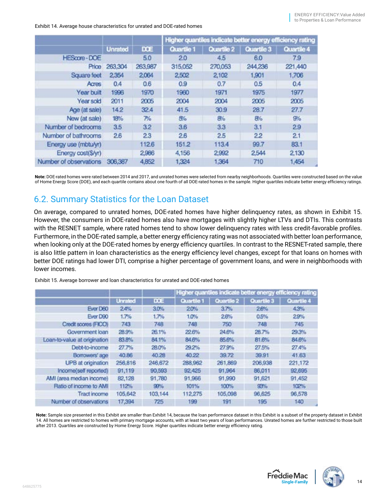<span id="page-15-0"></span>Exhibit 14. Average house characteristics for unrated and DOE-rated homes

|                        |                |              |            |                  |            | Higher quantiles indicate better energy efficiency rating |
|------------------------|----------------|--------------|------------|------------------|------------|-----------------------------------------------------------|
|                        | <b>Unrated</b> | <b>DOE</b>   | Quartile 1 | Quartile 2       | Quartile 3 | Quartile 4                                                |
| HEScore - DOE          |                | 5.0          | 2.0        | 4.5              | 6.0        | 7.9                                                       |
| Price                  | 263,304        | 263,987      | 315,052    | 270,053          | 244,236    | 221,440                                                   |
| Square feet            | 2,354          | 2,064        | 2,502      | 2,102            | 1,901      | 1,706                                                     |
| Acres                  | 0.4            | 0.6          | 0.9        | 0.7              | 0.5        | 0.4                                                       |
| Year built             | 1996           | 1970         | 1960       | 1971             | 1975       | 1977                                                      |
| Year sold              | 2011           | 2005         | 2004       | 2004             | 2005       | 2005                                                      |
| Age (at sale)          | 14.2           | 32.4         | 41.5       | 30.9             | 28.7       | 27.7                                                      |
| New (at sale)          | 18%            | $P_{\rm 10}$ | 5%         | 8%               | 8%         | 9%                                                        |
| Number of bedrooms     | 3.5            | 32           | 3.6        | 3.3 <sub>5</sub> | 3.1        | 2.9                                                       |
| Number of bathrooms    | 26             | 23           | 26         | 2.5              | 22         | 2.1                                                       |
| Energy use (mbtulyr)   |                | 1126         | 151.2      | 113.4            | 99.7       | 83.1                                                      |
| Energy cost(S/yr)      |                | 2,986        | 4,156      | 2,992            | 2,544      | 2.130                                                     |
| Number of observations | 306,387        | 4,852        | 1,324      | 1,364            | 710        | 1,454                                                     |

**Note:** DOE-rated homes were rated between 2014 and 2017, and unrated homes were selected from nearby neighborhoods. Quartiles were constructed based on the value of Home Energy Score (DOE), and each quartile contains about one fourth of all DOE-rated homes in the sample. Higher quartiles indicate better energy efficiency ratings.

## 6.2. Summary Statistics for the Loan Dataset

On average, compared to unrated homes, DOE-rated homes have higher delinquency rates, as shown in Exhibit 15. However, the consumers in DOE-rated homes also have mortgages with slightly higher LTVs and DTIs. This contrasts with the RESNET sample, where rated homes tend to show lower delinquency rates with less credit-favorable profiles. Furthermore, in the DOE-rated sample, a better energy efficiency rating was not associated with better loan performance, when looking only at the DOE-rated homes by energy efficiency quartiles. In contrast to the RESNET-rated sample, there is also little pattern in loan characteristics as the energy efficiency level changes, except for that loans on homes with better DOE ratings had lower DTI, comprise a higher percentage of government loans, and were in neighborhoods with lower incomes.

|                              |                |            |            |            |            | Higher quantiles indicate better energy efficiency rating |
|------------------------------|----------------|------------|------------|------------|------------|-----------------------------------------------------------|
|                              | <b>Unrated</b> | <b>DOE</b> | Quartile 1 | Quartile 2 | Quartile 3 | Quartile 4                                                |
| Ever D60                     | 24%            | 3.0%       | 20%        | 3.7%       | 2.6%       | 4.3%                                                      |
| Ever D90                     | 1.7%           | 1.7%       | 1.0%       | 26%        | 0.5%       | 29%                                                       |
| Credit scores (FICO)         | 743            | 748        | 748        | 750        | 748        | 745                                                       |
| Government loan              | 28.9%          | 26.1%      | 22.6%      | 24.6%      | 28.7%      | 29.3%                                                     |
| Loan-to-value at origination | 83.8%          | 84.1%      | 84.6%      | 85.6%      | 81.6%      | 84.6%                                                     |
| Debt-to-income               | 27.7%          | 28.0%      | 29.2%      | 27.9%      | 27.5%      | 27.4%                                                     |
| Borrowers' age               | 40.86          | 40.28      | 40.22      | 39.72      | 39.91      | 41.63                                                     |
| UPB at origination           | 256,816        | 246,672    | 288,962    | 261,869    | 206,938    | 221,172                                                   |
| Income(self reported)        | 91,119         | 90,593     | 92.425     | 91.964     | 86,011     | 92,695                                                    |
| AMI (area median income)     | 82,128         | 91,780     | 91,966     | 91,990     | 91,621     | 91,452                                                    |
| Ratio of income to AMI       | 112%           | 99%        | 101%       | 100%       | 93%        | 102%                                                      |
| <b>Tract income</b>          | 105,642        | 103,144    | 112,275    | 105,098    | 96,625     | 96,578                                                    |
| Number of observations       | 17,394         | 725        | 199        | 191        | 195        | 140                                                       |

Exhibit 15. Average borrower and loan characteristics for unrated and DOE-rated homes

**Note:** Sample size presented in this Exhibit are smaller than Exhibit 14, because the loan performance dataset in this Exhibit is a subset of the property dataset in Exhibit 14. All homes are restricted to homes with primary mortgage accounts, with at least two years of loan performances. Unrated homes are further restricted to those built after 2013. Quartiles are constructed by Home Energy Score. Higher quartiles indicate better energy efficiency rating.



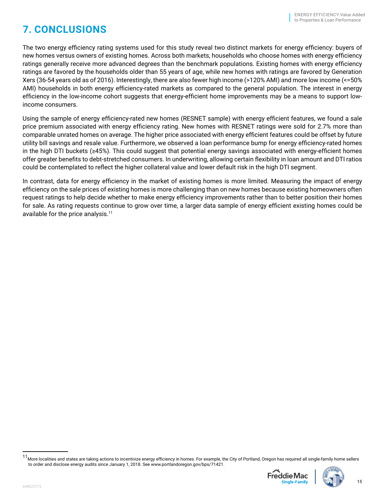## <span id="page-16-0"></span>**7. CONCLUSIONS**

The two energy efficiency rating systems used for this study reveal two distinct markets for energy efficiency: buyers of new homes versus owners of existing homes. Across both markets, households who choose homes with energy efficiency ratings generally receive more advanced degrees than the benchmark populations. Existing homes with energy efficiency ratings are favored by the households older than 55 years of age, while new homes with ratings are favored by Generation Xers (36-54 years old as of 2016). Interestingly, there are also fewer high income (>120% AMI) and more low income (<=50% AMI) households in both energy efficiency-rated markets as compared to the general population. The interest in energy efficiency in the low-income cohort suggests that energy-efficient home improvements may be a means to support lowincome consumers.

Using the sample of energy efficiency-rated new homes (RESNET sample) with energy efficient features, we found a sale price premium associated with energy efficiency rating. New homes with RESNET ratings were sold for 2.7% more than comparable unrated homes on average. The higher price associated with energy efficient features could be offset by future utility bill savings and resale value. Furthermore, we observed a loan performance bump for energy efficiency-rated homes in the high DTI buckets (≥45%). This could suggest that potential energy savings associated with energy-efficient homes offer greater benefits to debt-stretched consumers. In underwriting, allowing certain flexibility in loan amount and DTI ratios could be contemplated to reflect the higher collateral value and lower default risk in the high DTI segment.

In contrast, data for energy efficiency in the market of existing homes is more limited. Measuring the impact of energy efficiency on the sale prices of existing homes is more challenging than on new homes because existing homeowners often request ratings to help decide whether to make energy efficiency improvements rather than to better position their homes for sale. As rating requests continue to grow over time, a larger data sample of energy efficient existing homes could be available for the price analysis.<sup>11</sup>

<sup>&</sup>lt;sup>11</sup> More localities and states are taking actions to incentivize energy efficiency in homes. For example, the City of Portland, Oregon has required all single-family home sellers to order and disclose energy audits since January 1, 2018. See www.portlandoregon.gov/bps/71421.



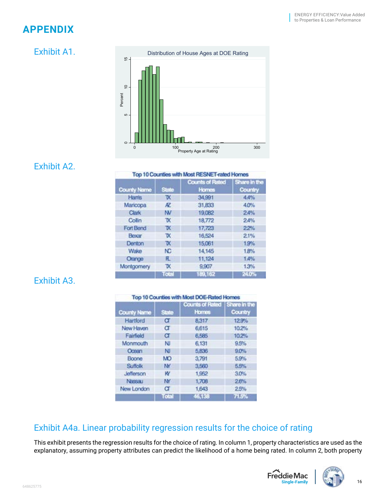## <span id="page-17-0"></span>**APPENDIX**

## Exhibit A1.



#### Exhibit A2.

|  |  | Top 10 Counties with Most RESNET-rated Homes |  |
|--|--|----------------------------------------------|--|
|  |  |                                              |  |

| <b>County Name</b> | <b>State</b> | <b>Counts of Rated</b><br><b>Homes</b> | Share in the<br>Country |
|--------------------|--------------|----------------------------------------|-------------------------|
| Harris             | x            | 34,991                                 | 4,4%                    |
| Maricopa           | Æ            | 31,833                                 | 4.0%                    |
| Clark              | M            | 19,082                                 | 24%                     |
| Collin             | ъc           | 18,772                                 | 24%                     |
| Fort Bend          | TX.          | 17,723                                 | 22%                     |
| Becar              | τх           | 16.524                                 | 21%                     |
| Denton             | TX.          | 15,061                                 | 1.9%                    |
| Wake               | NC.          | 14,145                                 | 1.8%                    |
| Orange             | FL.          | 11,124                                 | 1.4%                    |
| Montgomery         | ъ٠           | 9,907                                  | 1.3%                    |
|                    | <b>TOIST</b> | 189,162                                | 24.0%                   |

## Exhibit A3.

|  |  | Top 10 Counties with Most DOE-Rated Homes |  |
|--|--|-------------------------------------------|--|
|--|--|-------------------------------------------|--|

| <b>County Name</b> | <b>State</b> | <b>Counts of Rated</b><br>Homes | Share in the<br>Country |
|--------------------|--------------|---------------------------------|-------------------------|
| Hartford           | σ            | 8,317                           | 129%                    |
| New Haven          | σ            | 6,615                           | 10.2%                   |
| Fairfield          | σ            | 6,585                           | 10.2%                   |
| Monmouth           | NJ           | 6,131                           | 9.5%                    |
| Ocean              | NJ           | 5,836                           | 9.0%                    |
| Boone              | MO           | 3,791                           | 5.9%                    |
| <b>Suffolk</b>     | w            | 3,560                           | 5.5%                    |
| Jefferson          | ĸ            | 1,952                           | 3.0%                    |
| Nassau             | w            | 1,708                           | 26%                     |
| New London         | σ            | 1,643                           | 2.5%                    |
|                    | Total        | 46,138                          | 71.5%                   |

#### Exhibit A4a. Linear probability regression results for the choice of rating

This exhibit presents the regression results for the choice of rating. In column 1, property characteristics are used as the explanatory, assuming property attributes can predict the likelihood of a home being rated. In column 2, both property



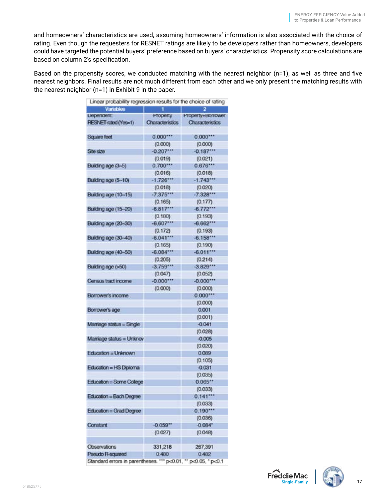and homeowners' characteristics are used, assuming homeowners' information is also associated with the choice of rating. Even though the requesters for RESNET ratings are likely to be developers rather than homeowners, developers could have targeted the potential buyers' preference based on buyers' characteristics. Propensity score calculations are based on column 2's specification.

Based on the propensity scores, we conducted matching with the nearest neighbor (n=1), as well as three and five nearest neighbors. Final results are not much different from each other and we only present the matching results with the nearest neighbor (n=1) in Exhibit 9 in the paper.

| <b>Variables</b>            | ٦                   | 2                      |
|-----------------------------|---------------------|------------------------|
| <b>Liepengent:</b>          | Property            | Property+Borrower      |
| RESNET-rated (Yes=1)        | Characteristics     | <b>Characteristics</b> |
| Square feet                 | 0.000               | 0.000                  |
|                             | (0.000)             | (0.000)                |
| She size                    | $-0.207$            | $-0.187$               |
|                             | (0.019)             | (0.021)                |
| Building age (3-5)          | $0.700***$          | 0.676                  |
|                             | (0.016)             | (0.018)                |
| Building age (5-10)         | $-1.726***$         | $-1.743***$            |
|                             | (0.018)             | (0.020)                |
| Building age (10-15)        | $-7.375$            | $-7.328$               |
|                             | (0.165)             | (0.177)                |
| <b>Building age (15-20)</b> | $-6.817***$         | $-6.772$               |
|                             | (0.180)             | (0.193)                |
| Building age (20-30)        | $-6.607$            | $-6.662$               |
|                             |                     |                        |
|                             | (0.172)<br>$-6.041$ | (0.193)<br>$-6.158$    |
| Building age (30-40)        |                     |                        |
|                             | (0.165)             | (0.190)                |
| Building age (40-50)        | $-6.084$            | $-6.011$               |
|                             | (0.205)             | (0.214)                |
| Building age (>50)          | $-3.759$            | $-3.829$               |
|                             | (0.047)             | (0.052)                |
| Census tract income         | $-0.000***$         | $-0.000***$            |
|                             | (0.000)             | (0.000)                |
| Borrower's income           |                     | 0.000                  |
|                             |                     | (0.000)                |
| Borrower's age              |                     | 0.001                  |
|                             |                     | (0.001)                |
| Marriage status = Single    |                     | $-0.041$               |
|                             |                     | (0.028)                |
| Marriage status = Unknov    |                     | $-0.005$               |
|                             |                     | (0.020)                |
| Education = Unknown         |                     | 0.089                  |
|                             |                     | (0.105)                |
| Education = HS Dipioma      |                     | $-0.031$               |
|                             |                     | (0.035)                |
| Education = Some College    |                     | 0.065**                |
|                             |                     | (0.033)                |
| Education = Bach Degree     |                     | 0.141                  |
|                             |                     | (0.033)                |
| Education = Grad Degree     |                     | 0.190                  |
|                             |                     | (0.036)                |
| <b>Constant</b>             | $-0.059"$           | $-0.084*$              |
|                             | (0.027)             | (0.048)                |
|                             |                     |                        |
| Observations                | 331,218             | 267,391                |
| Pseudo R-squared            | 0.480               | 0.482                  |
|                             |                     |                        |

Standard errors in parentheses. \*\*\* p<0.01, \*\* p<0.05, \* p<0.1

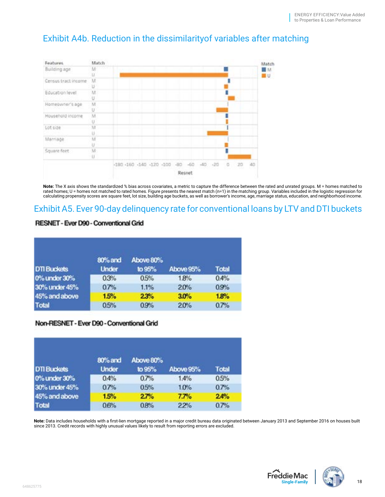## Exhibit A4b. Reduction in the dissimilarityof variables after matching



**Note:** The X axis shows the standardized % bias across covariates, a metric to capture the difference between the rated and unrated groups. M = homes matched to rated homes; U = homes not matched to rated homes. Figure presents the nearest match (n=1) in the matching group. Variables included in the logistic regression for<br>calculating propensity scores are square feet, lot size, b

#### Exhibit A5. Ever 90-day delinquency rate for conventional loans by LTV and DTI buckets

#### **RESNET - Ever D90 - Conventional Grid**

|                    | 80% and      | Above 80% |           |              |
|--------------------|--------------|-----------|-----------|--------------|
| <b>DTI Buckets</b> | <b>Under</b> | to 95%    | Above 95% | <b>Total</b> |
| 0% under 30%       | 0.3%         | 0.5%      | 1.8%      | 0.4%         |
| 30% under 45%      | 0.7%         | 1.1%      | 20%       | 0.9%         |
| 45% and above      | 1.5%         | 23%       | 3.0%      | 1.8%         |
| <b>Total</b>       | 0.5%         | 0.9%      | 20%       | 0.7%         |

#### Non-RESNET - Ever D90 - Conventional Grid

| <b>DTI Buckets</b> | 80% and<br><b>Under</b> | Above 80%<br>to 95% | Above 95% | <b>Total</b> |  |
|--------------------|-------------------------|---------------------|-----------|--------------|--|
| 0% under 30%       | 0.4%                    | 0.7%                | 1.4%      | 0.5%         |  |
| 30% under 45%      | 0.7%                    | 0.5%                | 1.0%      | 0.7%         |  |
| 45% and above      | 1.5%                    | 27%                 | 7.7%      | 24%          |  |
| <b>Total</b>       | 0.6%                    | 0.8%                | 22%       | 0.7%         |  |

**Note:** Data includes households with a first-lien mortgage reported in a major credit bureau data originated between January 2013 and September 2016 on houses built since 2013. Credit records with highly unusual values likely to result from reporting errors are excluded.



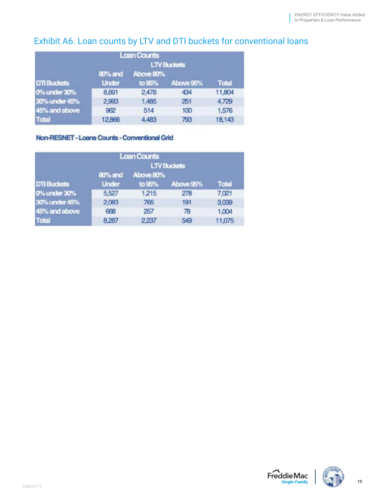## Exhibit A6. Loan counts by LTV and DTI buckets for conventional loans

|                    |                    | <b>Loan Counts</b> |           |              |  |
|--------------------|--------------------|--------------------|-----------|--------------|--|
|                    | <b>LTV Buckets</b> |                    |           |              |  |
|                    | 80% and            | Above 80%          |           |              |  |
| <b>DTI Buckets</b> | <b>Under</b>       | to 95%             | Above 95% | <b>Total</b> |  |
| 0% under 30%       | 8,891              | 2,478              | 434       | 11,804       |  |
| 30% under 45%      | 2,993              | 1,485              | 251       | 4,729        |  |
| 45% and above      | 962                | 514                | 100       | 1,576        |  |
| <b>Total</b>       | 12,866             | 4,483              | 793       | 18,143       |  |

#### Non-RESNET - Loans Counts - Conventional Grid

|                    |                         | <b>Loan Counts</b>  | <b>LTV Buckets</b> |              |
|--------------------|-------------------------|---------------------|--------------------|--------------|
| <b>DTI Buckets</b> | 80% and<br><b>Under</b> | Above 80%<br>to 95% | Above 95%          | <b>Total</b> |
| 0% under 30%       | 5,527                   | 1,215               | 278                | 7,021        |
| 30% under 45%      | 2.083                   | 765                 | 191                | 3,039        |
| 45% and above      | 668                     | 257                 | 78                 | 1,004        |
| <b>Total</b>       | 8.287                   | 2.237               | 549                | 11,075       |



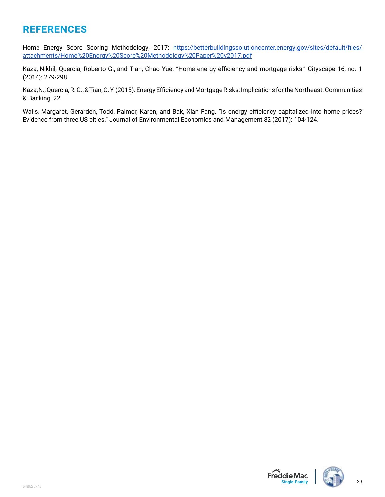## <span id="page-21-0"></span>**REFERENCES**

Home Energy Score Scoring Methodology, 2017: [https://betterbuildingssolutioncenter.energy.gov/sites/default/files/](https://betterbuildingssolutioncenter.energy.gov/sites/default/files/attachments/Home%2520Energy%2520Score%2520Methodology%2520Paper%2520v2017.pdf) [attachments/Home%20Energy%20Score%20Methodology%20Paper%20v2017.pdf](https://betterbuildingssolutioncenter.energy.gov/sites/default/files/attachments/Home%2520Energy%2520Score%2520Methodology%2520Paper%2520v2017.pdf)

Kaza, Nikhil, Quercia, Roberto G., and Tian, Chao Yue. "Home energy efficiency and mortgage risks." Cityscape 16, no. 1 (2014): 279-298.

Kaza, N., Quercia, R. G., & Tian, C. Y. (2015). Energy Efficiency and Mortgage Risks: Implications for the Northeast. Communities & Banking, 22.

Walls, Margaret, Gerarden, Todd, Palmer, Karen, and Bak, Xian Fang. "Is energy efficiency capitalized into home prices? Evidence from three US cities." Journal of Environmental Economics and Management 82 (2017): 104-124.